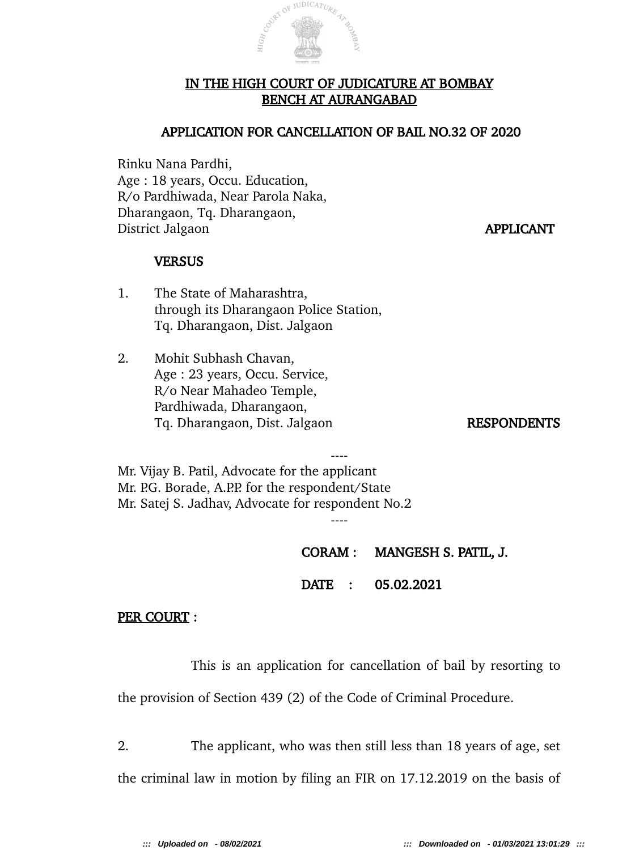

 $\textit{i}\text{U}\text{DICAT}_{\textit{URR}}$ 

### APPLICATION FOR CANCELLATION OF BAIL NO.32 OF 2020

Rinku Nana Pardhi, Age : 18 years, Occu. Education, R/o Pardhiwada, Near Parola Naka, Dharangaon, Tq. Dharangaon, District Jalgaon **APPLICANT** 

### **VERSUS**

- 1. The State of Maharashtra, through its Dharangaon Police Station, Tq. Dharangaon, Dist. Jalgaon
- 2. Mohit Subhash Chavan, Age : 23 years, Occu. Service, R/o Near Mahadeo Temple, Pardhiwada, Dharangaon, Tq. Dharangaon, Dist. Jalgaon RESPONDENTS

---- Mr. Vijay B. Patil, Advocate for the applicant Mr. P.G. Borade, A.P.P. for the respondent/State Mr. Satej S. Jadhav, Advocate for respondent No.2

CORAM : MANGESH S. PATIL, J.

DATE : 05.02.2021

----

#### PER COURT :

This is an application for cancellation of bail by resorting to

the provision of Section 439 (2) of the Code of Criminal Procedure.

2. The applicant, who was then still less than 18 years of age, set

the criminal law in motion by filing an FIR on 17.12.2019 on the basis of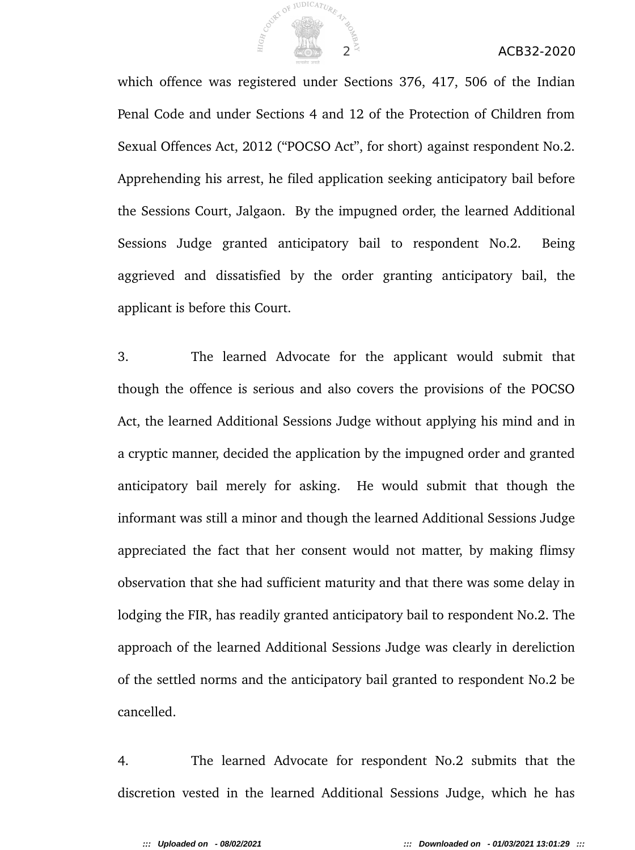

### 2 ACB32-2020

which offence was registered under Sections 376, 417, 506 of the Indian Penal Code and under Sections 4 and 12 of the Protection of Children from Sexual Offences Act, 2012 ("POCSO Act", for short) against respondent No.2. Apprehending his arrest, he filed application seeking anticipatory bail before the Sessions Court, Jalgaon. By the impugned order, the learned Additional Sessions Judge granted anticipatory bail to respondent No.2. Being aggrieved and dissatisfied by the order granting anticipatory bail, the applicant is before this Court.

3. The learned Advocate for the applicant would submit that though the offence is serious and also covers the provisions of the POCSO Act, the learned Additional Sessions Judge without applying his mind and in a cryptic manner, decided the application by the impugned order and granted anticipatory bail merely for asking. He would submit that though the informant was still a minor and though the learned Additional Sessions Judge appreciated the fact that her consent would not matter, by making flimsy observation that she had sufficient maturity and that there was some delay in lodging the FIR, has readily granted anticipatory bail to respondent No.2. The approach of the learned Additional Sessions Judge was clearly in dereliction of the settled norms and the anticipatory bail granted to respondent No.2 be cancelled.

4. The learned Advocate for respondent No.2 submits that the discretion vested in the learned Additional Sessions Judge, which he has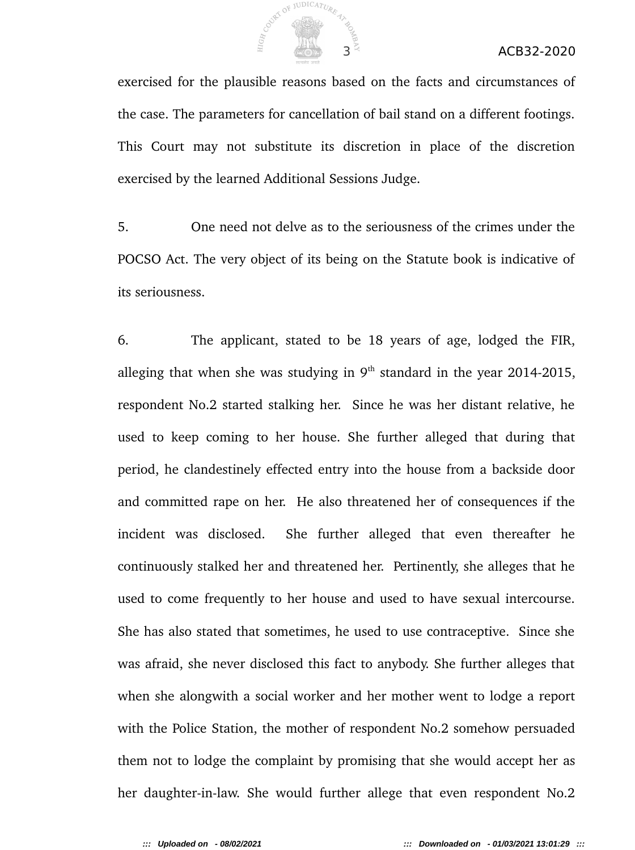

exercised for the plausible reasons based on the facts and circumstances of the case. The parameters for cancellation of bail stand on a different footings. This Court may not substitute its discretion in place of the discretion exercised by the learned Additional Sessions Judge.

5. One need not delve as to the seriousness of the crimes under the POCSO Act. The very object of its being on the Statute book is indicative of its seriousness.

6. The applicant, stated to be 18 years of age, lodged the FIR, alleging that when she was studying in  $9<sup>th</sup>$  standard in the year 2014-2015, respondent No.2 started stalking her. Since he was her distant relative, he used to keep coming to her house. She further alleged that during that period, he clandestinely effected entry into the house from a backside door and committed rape on her. He also threatened her of consequences if the incident was disclosed. She further alleged that even thereafter he continuously stalked her and threatened her. Pertinently, she alleges that he used to come frequently to her house and used to have sexual intercourse. She has also stated that sometimes, he used to use contraceptive. Since she was afraid, she never disclosed this fact to anybody. She further alleges that when she alongwith a social worker and her mother went to lodge a report with the Police Station, the mother of respondent No.2 somehow persuaded them not to lodge the complaint by promising that she would accept her as her daughter-in-law. She would further allege that even respondent No.2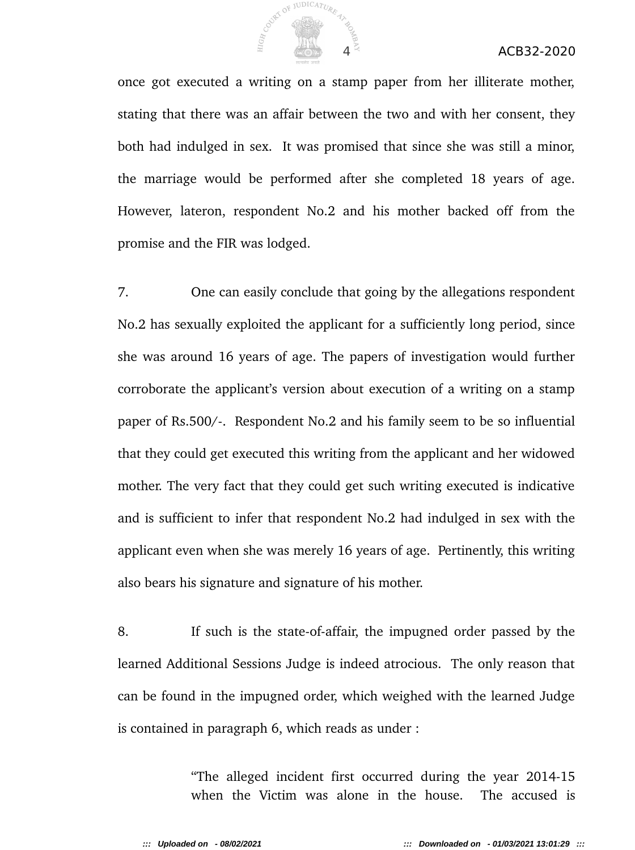

## 4 ACB32-2020

once got executed a writing on a stamp paper from her illiterate mother, stating that there was an affair between the two and with her consent, they both had indulged in sex. It was promised that since she was still a minor, the marriage would be performed after she completed 18 years of age. However, lateron, respondent No.2 and his mother backed off from the promise and the FIR was lodged.

7. One can easily conclude that going by the allegations respondent No.2 has sexually exploited the applicant for a sufficiently long period, since she was around 16 years of age. The papers of investigation would further corroborate the applicant's version about execution of a writing on a stamp paper of Rs.500/-. Respondent No.2 and his family seem to be so influential that they could get executed this writing from the applicant and her widowed mother. The very fact that they could get such writing executed is indicative and is sufficient to infer that respondent No.2 had indulged in sex with the applicant even when she was merely 16 years of age. Pertinently, this writing also bears his signature and signature of his mother.

8. If such is the state-of-affair, the impugned order passed by the learned Additional Sessions Judge is indeed atrocious. The only reason that can be found in the impugned order, which weighed with the learned Judge is contained in paragraph 6, which reads as under :

> "The alleged incident first occurred during the year 2014-15 when the Victim was alone in the house. The accused is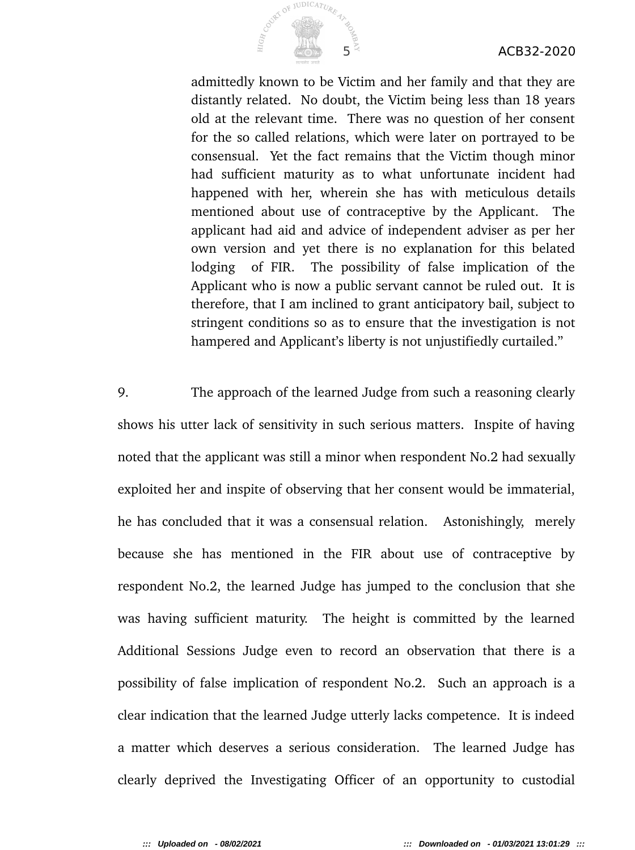## $5^{\frac{2}{3}}$  ACB32-2020



admittedly known to be Victim and her family and that they are distantly related. No doubt, the Victim being less than 18 years old at the relevant time. There was no question of her consent for the so called relations, which were later on portrayed to be consensual. Yet the fact remains that the Victim though minor had sufficient maturity as to what unfortunate incident had happened with her, wherein she has with meticulous details mentioned about use of contraceptive by the Applicant. The applicant had aid and advice of independent adviser as per her own version and yet there is no explanation for this belated lodging of FIR. The possibility of false implication of the Applicant who is now a public servant cannot be ruled out. It is therefore, that I am inclined to grant anticipatory bail, subject to stringent conditions so as to ensure that the investigation is not hampered and Applicant's liberty is not unjustifiedly curtailed."

9. The approach of the learned Judge from such a reasoning clearly shows his utter lack of sensitivity in such serious matters. Inspite of having noted that the applicant was still a minor when respondent No.2 had sexually exploited her and inspite of observing that her consent would be immaterial, he has concluded that it was a consensual relation. Astonishingly, merely because she has mentioned in the FIR about use of contraceptive by respondent No.2, the learned Judge has jumped to the conclusion that she was having sufficient maturity. The height is committed by the learned Additional Sessions Judge even to record an observation that there is a possibility of false implication of respondent No.2. Such an approach is a clear indication that the learned Judge utterly lacks competence. It is indeed a matter which deserves a serious consideration. The learned Judge has clearly deprived the Investigating Officer of an opportunity to custodial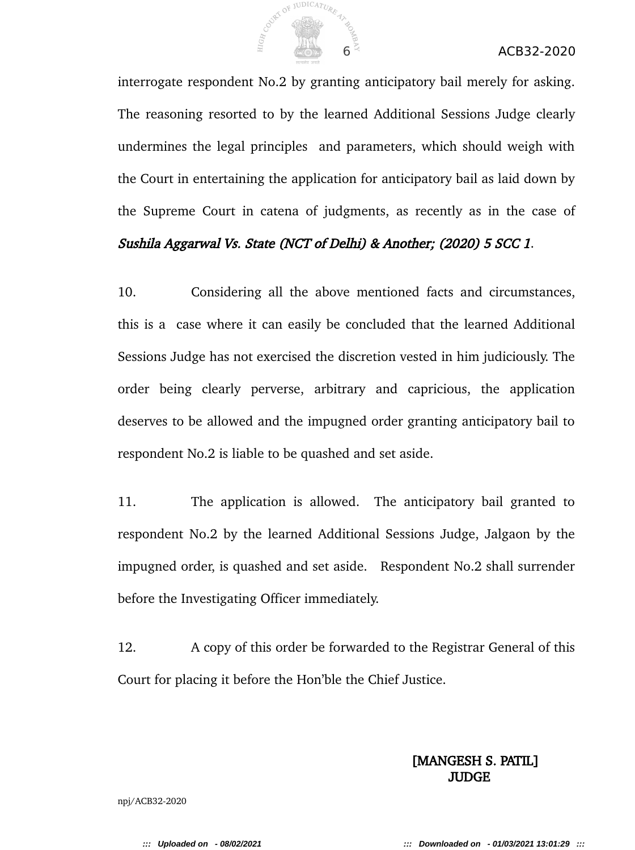

interrogate respondent No.2 by granting anticipatory bail merely for asking. The reasoning resorted to by the learned Additional Sessions Judge clearly undermines the legal principles and parameters, which should weigh with the Court in entertaining the application for anticipatory bail as laid down by the Supreme Court in catena of judgments, as recently as in the case of

## Sushila Aggarwal Vs. State (NCT of Delhi) & Another; (2020) 5 SCC 1.

10. Considering all the above mentioned facts and circumstances, this is a case where it can easily be concluded that the learned Additional Sessions Judge has not exercised the discretion vested in him judiciously. The order being clearly perverse, arbitrary and capricious, the application deserves to be allowed and the impugned order granting anticipatory bail to respondent No.2 is liable to be quashed and set aside.

11. The application is allowed. The anticipatory bail granted to respondent No.2 by the learned Additional Sessions Judge, Jalgaon by the impugned order, is quashed and set aside. Respondent No.2 shall surrender before the Investigating Officer immediately.

12. A copy of this order be forwarded to the Registrar General of this Court for placing it before the Hon'ble the Chief Justice.

# [MANGESH S. PATIL] **JUDGE**

npj/ACB32-2020